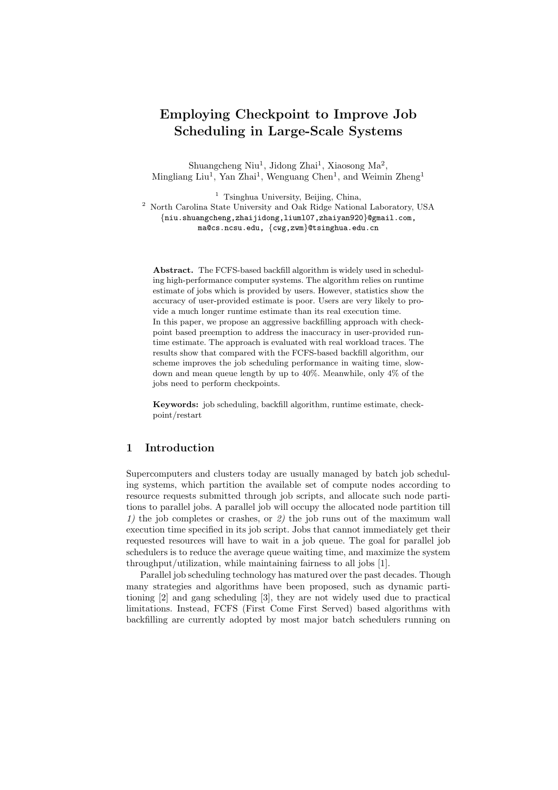# Employing Checkpoint to Improve Job Scheduling in Large-Scale Systems

Shuangcheng Niu<sup>1</sup>, Jidong Zhai<sup>1</sup>, Xiaosong Ma<sup>2</sup>, Mingliang Liu<sup>1</sup>, Yan Zhai<sup>1</sup>, Wenguang Chen<sup>1</sup>, and Weimin Zheng<sup>1</sup>

<sup>1</sup> Tsinghua University, Beijing, China, <sup>2</sup> North Carolina State University and Oak Ridge National Laboratory, USA {niu.shuangcheng,zhaijidong,liuml07,zhaiyan920}@gmail.com, ma@cs.ncsu.edu, {cwg,zwm}@tsinghua.edu.cn

Abstract. The FCFS-based backfill algorithm is widely used in scheduling high-performance computer systems. The algorithm relies on runtime estimate of jobs which is provided by users. However, statistics show the accuracy of user-provided estimate is poor. Users are very likely to provide a much longer runtime estimate than its real execution time. In this paper, we propose an aggressive backfilling approach with checkpoint based preemption to address the inaccuracy in user-provided runtime estimate. The approach is evaluated with real workload traces. The results show that compared with the FCFS-based backfill algorithm, our scheme improves the job scheduling performance in waiting time, slowdown and mean queue length by up to 40%. Meanwhile, only 4% of the jobs need to perform checkpoints.

Keywords: job scheduling, backfill algorithm, runtime estimate, checkpoint/restart

# 1 Introduction

Supercomputers and clusters today are usually managed by batch job scheduling systems, which partition the available set of compute nodes according to resource requests submitted through job scripts, and allocate such node partitions to parallel jobs. A parallel job will occupy the allocated node partition till 1) the job completes or crashes, or 2) the job runs out of the maximum wall execution time specified in its job script. Jobs that cannot immediately get their requested resources will have to wait in a job queue. The goal for parallel job schedulers is to reduce the average queue waiting time, and maximize the system throughput/utilization, while maintaining fairness to all jobs [1].

Parallel job scheduling technology has matured over the past decades. Though many strategies and algorithms have been proposed, such as dynamic partitioning [2] and gang scheduling [3], they are not widely used due to practical limitations. Instead, FCFS (First Come First Served) based algorithms with backfilling are currently adopted by most major batch schedulers running on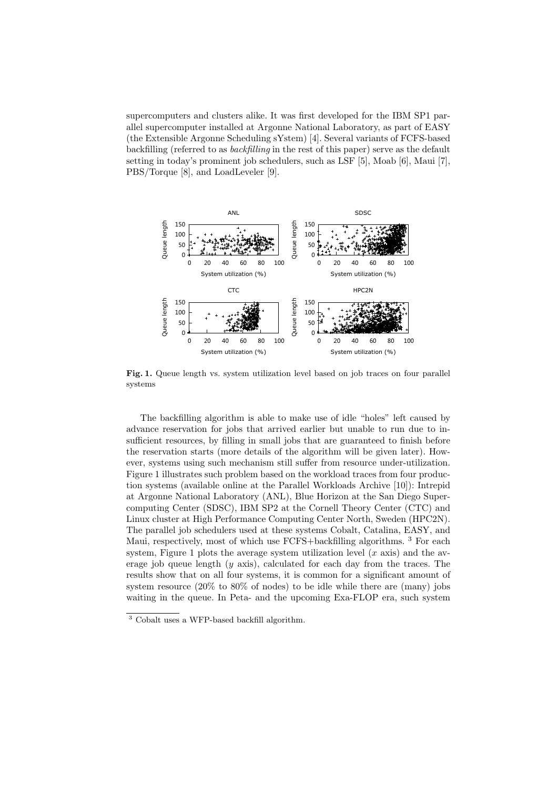supercomputers and clusters alike. It was first developed for the IBM SP1 parallel supercomputer installed at Argonne National Laboratory, as part of EASY (the Extensible Argonne Scheduling sYstem) [4]. Several variants of FCFS-based backfilling (referred to as backfilling in the rest of this paper) serve as the default setting in today's prominent job schedulers, such as LSF [5], Moab [6], Maui [7], PBS/Torque [8], and LoadLeveler [9].



Fig. 1. Queue length vs. system utilization level based on job traces on four parallel systems

The backfilling algorithm is able to make use of idle "holes" left caused by advance reservation for jobs that arrived earlier but unable to run due to insufficient resources, by filling in small jobs that are guaranteed to finish before the reservation starts (more details of the algorithm will be given later). However, systems using such mechanism still suffer from resource under-utilization. Figure 1 illustrates such problem based on the workload traces from four production systems (available online at the Parallel Workloads Archive [10]): Intrepid at Argonne National Laboratory (ANL), Blue Horizon at the San Diego Supercomputing Center (SDSC), IBM SP2 at the Cornell Theory Center (CTC) and Linux cluster at High Performance Computing Center North, Sweden (HPC2N). The parallel job schedulers used at these systems Cobalt, Catalina, EASY, and Maui, respectively, most of which use FCFS+backfilling algorithms. <sup>3</sup> For each system, Figure 1 plots the average system utilization level  $(x \text{ axis})$  and the average job queue length  $(y \text{ axis})$ , calculated for each day from the traces. The results show that on all four systems, it is common for a significant amount of system resource (20% to 80% of nodes) to be idle while there are (many) jobs waiting in the queue. In Peta- and the upcoming Exa-FLOP era, such system

<sup>3</sup> Cobalt uses a WFP-based backfill algorithm.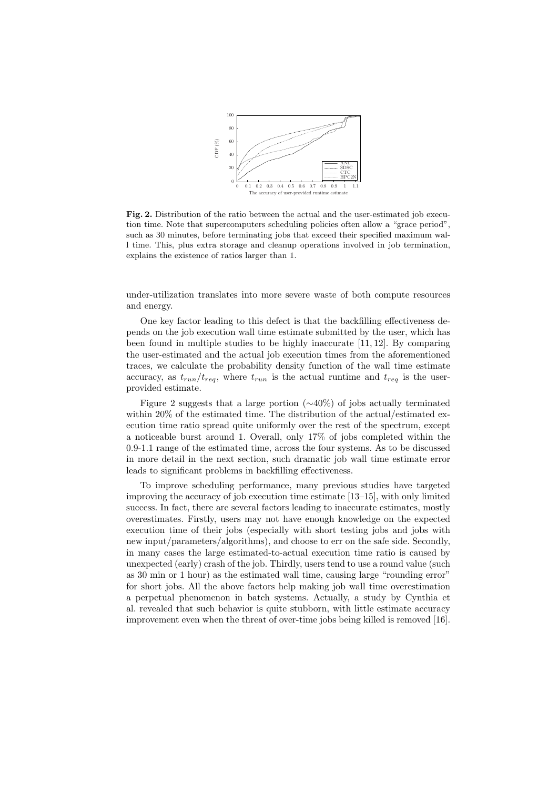

Fig. 2. Distribution of the ratio between the actual and the user-estimated job execution time. Note that supercomputers scheduling policies often allow a "grace period", such as 30 minutes, before terminating jobs that exceed their specified maximum wall time. This, plus extra storage and cleanup operations involved in job termination, explains the existence of ratios larger than 1.

under-utilization translates into more severe waste of both compute resources and energy.

One key factor leading to this defect is that the backfilling effectiveness depends on the job execution wall time estimate submitted by the user, which has been found in multiple studies to be highly inaccurate [11, 12]. By comparing the user-estimated and the actual job execution times from the aforementioned traces, we calculate the probability density function of the wall time estimate accuracy, as  $t_{run}/t_{req}$ , where  $t_{run}$  is the actual runtime and  $t_{req}$  is the userprovided estimate.

Figure 2 suggests that a large portion ( $\sim$ 40%) of jobs actually terminated within 20% of the estimated time. The distribution of the actual/estimated execution time ratio spread quite uniformly over the rest of the spectrum, except a noticeable burst around 1. Overall, only 17% of jobs completed within the 0.9-1.1 range of the estimated time, across the four systems. As to be discussed in more detail in the next section, such dramatic job wall time estimate error leads to significant problems in backfilling effectiveness.

To improve scheduling performance, many previous studies have targeted improving the accuracy of job execution time estimate [13–15], with only limited success. In fact, there are several factors leading to inaccurate estimates, mostly overestimates. Firstly, users may not have enough knowledge on the expected execution time of their jobs (especially with short testing jobs and jobs with new input/parameters/algorithms), and choose to err on the safe side. Secondly, in many cases the large estimated-to-actual execution time ratio is caused by unexpected (early) crash of the job. Thirdly, users tend to use a round value (such as 30 min or 1 hour) as the estimated wall time, causing large "rounding error" for short jobs. All the above factors help making job wall time overestimation a perpetual phenomenon in batch systems. Actually, a study by Cynthia et al. revealed that such behavior is quite stubborn, with little estimate accuracy improvement even when the threat of over-time jobs being killed is removed [16].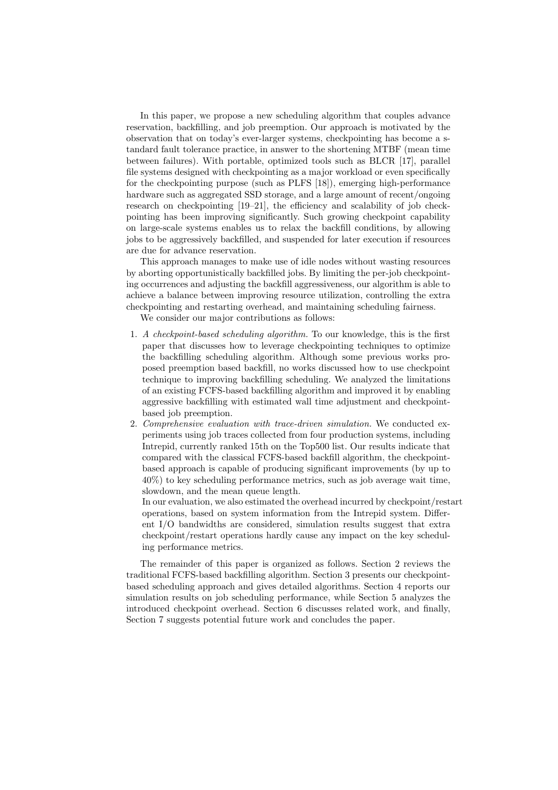In this paper, we propose a new scheduling algorithm that couples advance reservation, backfilling, and job preemption. Our approach is motivated by the observation that on today's ever-larger systems, checkpointing has become a standard fault tolerance practice, in answer to the shortening MTBF (mean time between failures). With portable, optimized tools such as BLCR [17], parallel file systems designed with checkpointing as a major workload or even specifically for the checkpointing purpose (such as PLFS [18]), emerging high-performance hardware such as aggregated SSD storage, and a large amount of recent/ongoing research on checkpointing [19–21], the efficiency and scalability of job checkpointing has been improving significantly. Such growing checkpoint capability on large-scale systems enables us to relax the backfill conditions, by allowing jobs to be aggressively backfilled, and suspended for later execution if resources are due for advance reservation.

This approach manages to make use of idle nodes without wasting resources by aborting opportunistically backfilled jobs. By limiting the per-job checkpointing occurrences and adjusting the backfill aggressiveness, our algorithm is able to achieve a balance between improving resource utilization, controlling the extra checkpointing and restarting overhead, and maintaining scheduling fairness.

We consider our major contributions as follows:

- 1. A checkpoint-based scheduling algorithm. To our knowledge, this is the first paper that discusses how to leverage checkpointing techniques to optimize the backfilling scheduling algorithm. Although some previous works proposed preemption based backfill, no works discussed how to use checkpoint technique to improving backfilling scheduling. We analyzed the limitations of an existing FCFS-based backfilling algorithm and improved it by enabling aggressive backfilling with estimated wall time adjustment and checkpointbased job preemption.
- 2. Comprehensive evaluation with trace-driven simulation. We conducted experiments using job traces collected from four production systems, including Intrepid, currently ranked 15th on the Top500 list. Our results indicate that compared with the classical FCFS-based backfill algorithm, the checkpointbased approach is capable of producing significant improvements (by up to 40%) to key scheduling performance metrics, such as job average wait time, slowdown, and the mean queue length.

In our evaluation, we also estimated the overhead incurred by checkpoint/restart operations, based on system information from the Intrepid system. Different I/O bandwidths are considered, simulation results suggest that extra checkpoint/restart operations hardly cause any impact on the key scheduling performance metrics.

The remainder of this paper is organized as follows. Section 2 reviews the traditional FCFS-based backfilling algorithm. Section 3 presents our checkpointbased scheduling approach and gives detailed algorithms. Section 4 reports our simulation results on job scheduling performance, while Section 5 analyzes the introduced checkpoint overhead. Section 6 discusses related work, and finally, Section 7 suggests potential future work and concludes the paper.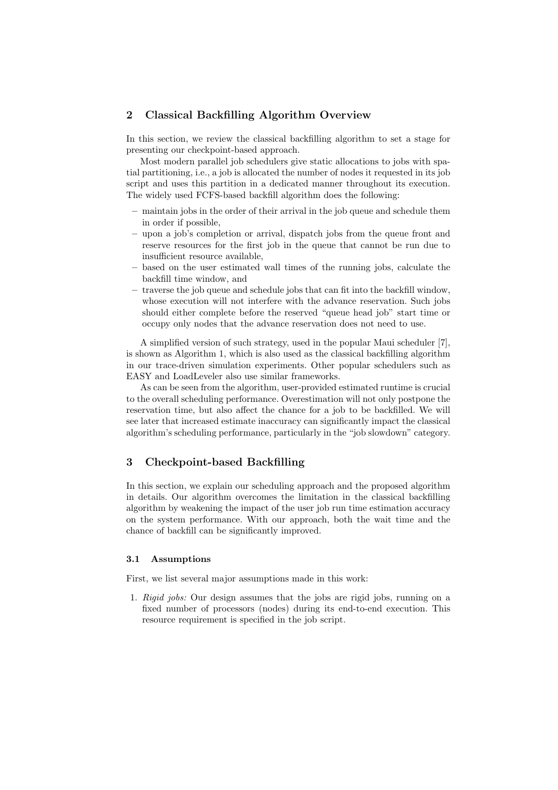# 2 Classical Backfilling Algorithm Overview

In this section, we review the classical backfilling algorithm to set a stage for presenting our checkpoint-based approach.

Most modern parallel job schedulers give static allocations to jobs with spatial partitioning, i.e., a job is allocated the number of nodes it requested in its job script and uses this partition in a dedicated manner throughout its execution. The widely used FCFS-based backfill algorithm does the following:

- maintain jobs in the order of their arrival in the job queue and schedule them in order if possible,
- upon a job's completion or arrival, dispatch jobs from the queue front and reserve resources for the first job in the queue that cannot be run due to insufficient resource available,
- based on the user estimated wall times of the running jobs, calculate the backfill time window, and
- traverse the job queue and schedule jobs that can fit into the backfill window, whose execution will not interfere with the advance reservation. Such jobs should either complete before the reserved "queue head job" start time or occupy only nodes that the advance reservation does not need to use.

A simplified version of such strategy, used in the popular Maui scheduler [7], is shown as Algorithm 1, which is also used as the classical backfilling algorithm in our trace-driven simulation experiments. Other popular schedulers such as EASY and LoadLeveler also use similar frameworks.

As can be seen from the algorithm, user-provided estimated runtime is crucial to the overall scheduling performance. Overestimation will not only postpone the reservation time, but also affect the chance for a job to be backfilled. We will see later that increased estimate inaccuracy can significantly impact the classical algorithm's scheduling performance, particularly in the "job slowdown" category.

# 3 Checkpoint-based Backfilling

In this section, we explain our scheduling approach and the proposed algorithm in details. Our algorithm overcomes the limitation in the classical backfilling algorithm by weakening the impact of the user job run time estimation accuracy on the system performance. With our approach, both the wait time and the chance of backfill can be significantly improved.

### 3.1 Assumptions

First, we list several major assumptions made in this work:

1. Rigid jobs: Our design assumes that the jobs are rigid jobs, running on a fixed number of processors (nodes) during its end-to-end execution. This resource requirement is specified in the job script.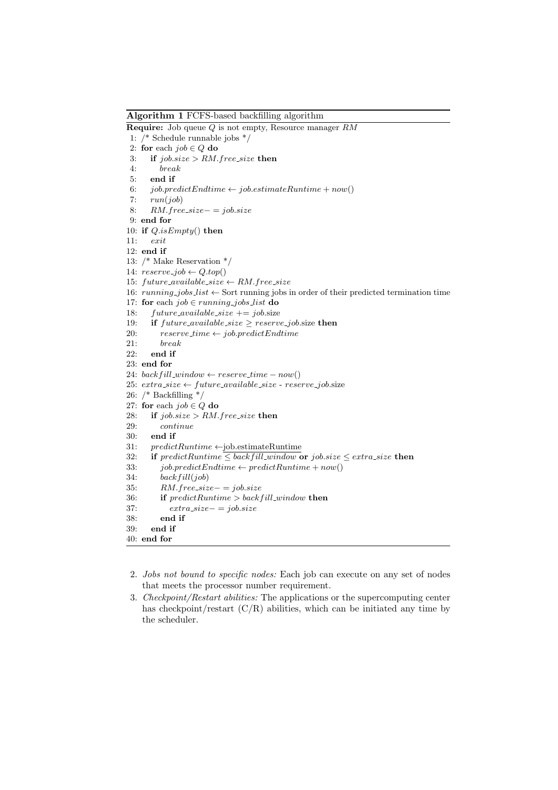**Require:** Job queue  $Q$  is not empty, Resource manager  $RM$ 1: /\* Schedule runnable jobs \*/ 2: for each  $job \in Q$  do 3: if  $job.size > RM-free.size$  then 4: break 5: end if 6: job.predictEndtime  $\leftarrow$  job.estimateRuntime + now() 7:  $run(job)$ 8:  $RM-free_size- = job.size$ 9: end for 10: if  $Q.isEmpty()$  then 11: exit 12: end if 13: /\* Make Reservation \*/ 14:  $reserve\_job \leftarrow Q.top()$ 15:  $future_available\_size \leftarrow RM-free\_size$ 16: running jobs list  $\leftarrow$  Sort running jobs in order of their predicted termination time 17: for each  $job \in running\_jobs\_list$  do 18:  $future_ available_ size  += job_ size$ 19: if  $future_available\_size \geq reserve\_job.size$  then 20:  $reserve_time \leftarrow job.predictEndtime$ 21: break 22: end if 23: end for 24: backfill\_window  $\leftarrow$  reserve\_time – now() 25:  $extra_size \leftarrow future_available_size - reserve_job.size$ 26:  $/*$  Backfilling  $*/$ 27: for each  $job \in Q$  do 28: if  $job.size > RM-free_size$  then 29: continue 30: end if 31: predictRuntime ←job.estimateRuntime 32: if  $predictRuntime \leq backfill\_window$  or  $job.size \leq extra.size$  then 33: job.predictEndtime  $\leftarrow predictRuntime + now()$  $34: \qquad backfill(job)$ 35:  $RM-free_size- = job.size$ 36: if  $predictRuntime > backfill\_window$  then 37:  $extra_size- = job.size$ 38: end if 39: end if 40: end for

Algorithm 1 FCFS-based backfilling algorithm

- 2. Jobs not bound to specific nodes: Each job can execute on any set of nodes that meets the processor number requirement.
- 3. Checkpoint/Restart abilities: The applications or the supercomputing center has checkpoint/restart  $(C/R)$  abilities, which can be initiated any time by the scheduler.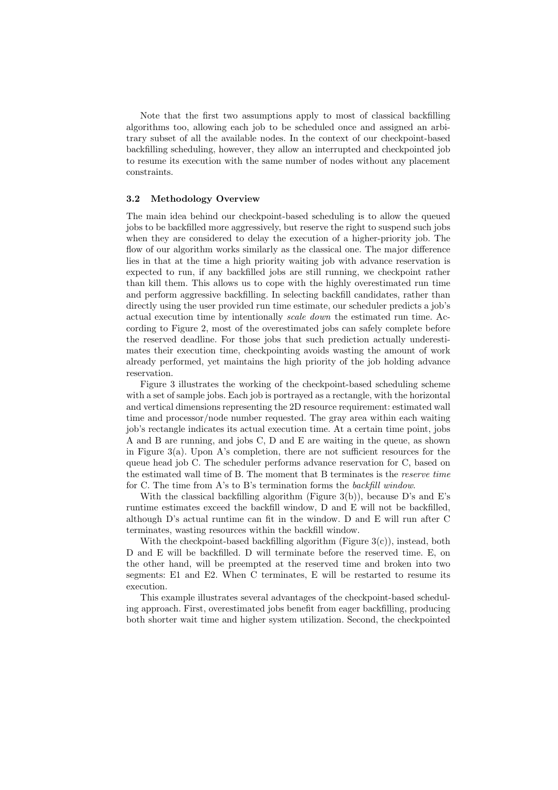Note that the first two assumptions apply to most of classical backfilling algorithms too, allowing each job to be scheduled once and assigned an arbitrary subset of all the available nodes. In the context of our checkpoint-based backfilling scheduling, however, they allow an interrupted and checkpointed job to resume its execution with the same number of nodes without any placement constraints.

### 3.2 Methodology Overview

The main idea behind our checkpoint-based scheduling is to allow the queued jobs to be backfilled more aggressively, but reserve the right to suspend such jobs when they are considered to delay the execution of a higher-priority job. The flow of our algorithm works similarly as the classical one. The major difference lies in that at the time a high priority waiting job with advance reservation is expected to run, if any backfilled jobs are still running, we checkpoint rather than kill them. This allows us to cope with the highly overestimated run time and perform aggressive backfilling. In selecting backfill candidates, rather than directly using the user provided run time estimate, our scheduler predicts a job's actual execution time by intentionally scale down the estimated run time. According to Figure 2, most of the overestimated jobs can safely complete before the reserved deadline. For those jobs that such prediction actually underestimates their execution time, checkpointing avoids wasting the amount of work already performed, yet maintains the high priority of the job holding advance reservation.

Figure 3 illustrates the working of the checkpoint-based scheduling scheme with a set of sample jobs. Each job is portrayed as a rectangle, with the horizontal and vertical dimensions representing the 2D resource requirement: estimated wall time and processor/node number requested. The gray area within each waiting job's rectangle indicates its actual execution time. At a certain time point, jobs A and B are running, and jobs C, D and E are waiting in the queue, as shown in Figure 3(a). Upon A's completion, there are not sufficient resources for the queue head job C. The scheduler performs advance reservation for C, based on the estimated wall time of B. The moment that B terminates is the reserve time for C. The time from A's to B's termination forms the backfill window.

With the classical backfilling algorithm (Figure 3(b)), because  $D$ 's and E's runtime estimates exceed the backfill window, D and E will not be backfilled, although D's actual runtime can fit in the window. D and E will run after C terminates, wasting resources within the backfill window.

With the checkpoint-based backfilling algorithm (Figure  $3(c)$ ), instead, both D and E will be backfilled. D will terminate before the reserved time. E, on the other hand, will be preempted at the reserved time and broken into two segments: E1 and E2. When C terminates, E will be restarted to resume its execution.

This example illustrates several advantages of the checkpoint-based scheduling approach. First, overestimated jobs benefit from eager backfilling, producing both shorter wait time and higher system utilization. Second, the checkpointed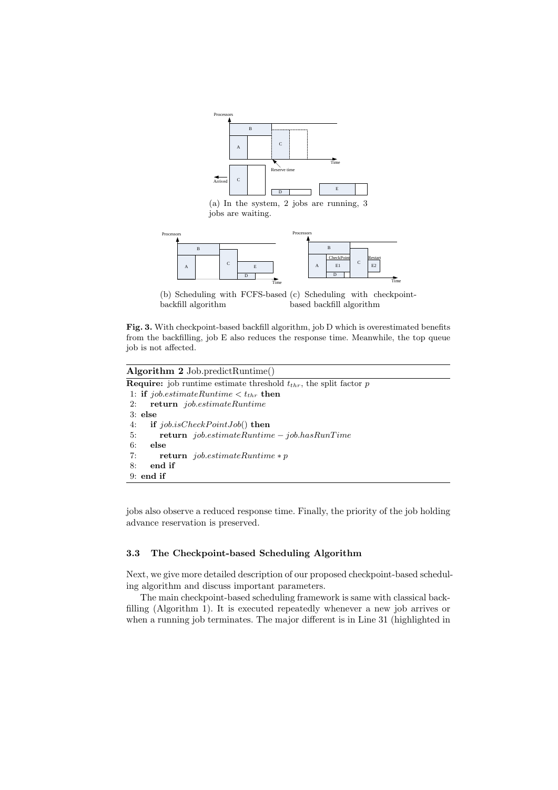

(b) Scheduling with FCFS-based (c) Scheduling with checkpointbackfill algorithm based backfill algorithm

Fig. 3. With checkpoint-based backfill algorithm, job D which is overestimated benefits from the backfilling, job E also reduces the response time. Meanwhile, the top queue job is not affected.

Algorithm 2 Job.predictRuntime() **Require:** job runtime estimate threshold  $t_{thr}$ , the split factor  $p$ 1: if job.estimateRuntime  $\lt t_{thr}$  then<br>2: return iob.estimateRuntime 2: return job.estimateRuntime 3: else 4: if  $job.isCheckPointJob()$  then 5: return job.estimateRuntime − job.hasRunT ime 6: else 7: return job.estimateRuntime ∗ p 8: end if 9: end if

jobs also observe a reduced response time. Finally, the priority of the job holding advance reservation is preserved.

# 3.3 The Checkpoint-based Scheduling Algorithm

Next, we give more detailed description of our proposed checkpoint-based scheduling algorithm and discuss important parameters.

The main checkpoint-based scheduling framework is same with classical backfilling (Algorithm 1). It is executed repeatedly whenever a new job arrives or when a running job terminates. The major different is in Line 31 (highlighted in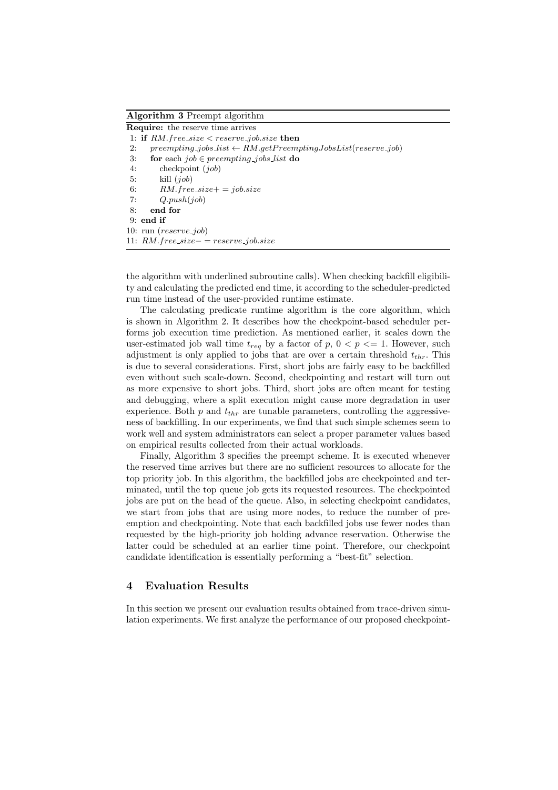Algorithm 3 Preempt algorithm

Require: the reserve time arrives 1: if  $RM-free\_size < respectively>.isize$  then 2: preempting\_jobs\_list  $\leftarrow RM.getPreempting JobsList(reserve\_job)$ 3: for each  $job \in preempting\_{jobs\_list}$  do 4: checkpoint (job) 5: kill  $(job)$ 6:  $RM-free\_size+=job.size$ 7:  $Q.push(job)$ 8: end for 9: end if 10: run (reserve job) 11:  $RM.free\_size- = reserve\_job.size$ 

the algorithm with underlined subroutine calls). When checking backfill eligibility and calculating the predicted end time, it according to the scheduler-predicted run time instead of the user-provided runtime estimate.

The calculating predicate runtime algorithm is the core algorithm, which is shown in Algorithm 2. It describes how the checkpoint-based scheduler performs job execution time prediction. As mentioned earlier, it scales down the user-estimated job wall time  $t_{req}$  by a factor of  $p, 0 < p \le 1$ . However, such adjustment is only applied to jobs that are over a certain threshold  $t_{thr}$ . This is due to several considerations. First, short jobs are fairly easy to be backfilled even without such scale-down. Second, checkpointing and restart will turn out as more expensive to short jobs. Third, short jobs are often meant for testing and debugging, where a split execution might cause more degradation in user experience. Both  $p$  and  $t_{thr}$  are tunable parameters, controlling the aggressiveness of backfilling. In our experiments, we find that such simple schemes seem to work well and system administrators can select a proper parameter values based on empirical results collected from their actual workloads.

Finally, Algorithm 3 specifies the preempt scheme. It is executed whenever the reserved time arrives but there are no sufficient resources to allocate for the top priority job. In this algorithm, the backfilled jobs are checkpointed and terminated, until the top queue job gets its requested resources. The checkpointed jobs are put on the head of the queue. Also, in selecting checkpoint candidates, we start from jobs that are using more nodes, to reduce the number of preemption and checkpointing. Note that each backfilled jobs use fewer nodes than requested by the high-priority job holding advance reservation. Otherwise the latter could be scheduled at an earlier time point. Therefore, our checkpoint candidate identification is essentially performing a "best-fit" selection.

### 4 Evaluation Results

In this section we present our evaluation results obtained from trace-driven simulation experiments. We first analyze the performance of our proposed checkpoint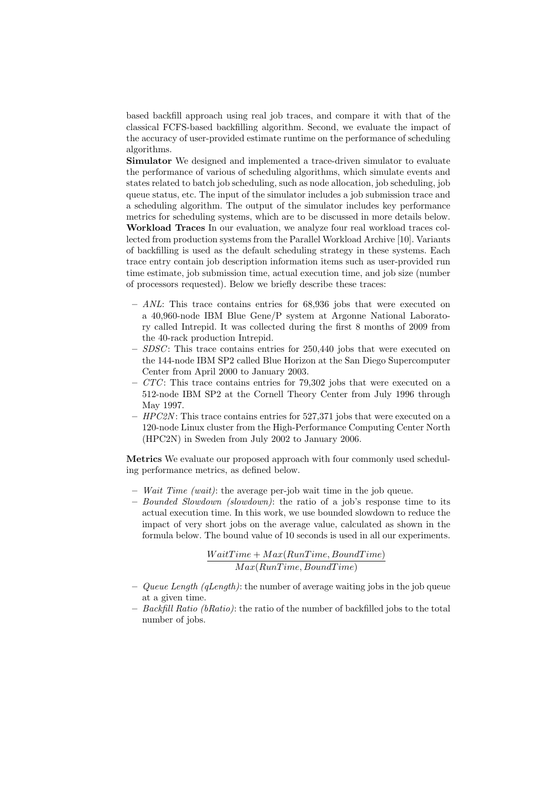based backfill approach using real job traces, and compare it with that of the classical FCFS-based backfilling algorithm. Second, we evaluate the impact of the accuracy of user-provided estimate runtime on the performance of scheduling algorithms.

Simulator We designed and implemented a trace-driven simulator to evaluate the performance of various of scheduling algorithms, which simulate events and states related to batch job scheduling, such as node allocation, job scheduling, job queue status, etc. The input of the simulator includes a job submission trace and a scheduling algorithm. The output of the simulator includes key performance metrics for scheduling systems, which are to be discussed in more details below. Workload Traces In our evaluation, we analyze four real workload traces collected from production systems from the Parallel Workload Archive [10]. Variants of backfilling is used as the default scheduling strategy in these systems. Each trace entry contain job description information items such as user-provided run time estimate, job submission time, actual execution time, and job size (number of processors requested). Below we briefly describe these traces:

- $ANL$ : This trace contains entries for 68,936 jobs that were executed on a 40,960-node IBM Blue Gene/P system at Argonne National Laboratory called Intrepid. It was collected during the first 8 months of 2009 from the 40-rack production Intrepid.
- $-$  SDSC: This trace contains entries for 250,440 jobs that were executed on the 144-node IBM SP2 called Blue Horizon at the San Diego Supercomputer Center from April 2000 to January 2003.
- $-$  CTC: This trace contains entries for 79,302 jobs that were executed on a 512-node IBM SP2 at the Cornell Theory Center from July 1996 through May 1997.
- $-$  HPC2N: This trace contains entries for 527,371 jobs that were executed on a 120-node Linux cluster from the High-Performance Computing Center North (HPC2N) in Sweden from July 2002 to January 2006.

Metrics We evaluate our proposed approach with four commonly used scheduling performance metrics, as defined below.

- $-$  *Wait Time (wait)*: the average per-job wait time in the job queue.
- Bounded Slowdown (slowdown): the ratio of a job's response time to its actual execution time. In this work, we use bounded slowdown to reduce the impact of very short jobs on the average value, calculated as shown in the formula below. The bound value of 10 seconds is used in all our experiments.

 $WaitTime + Max(RunTime, BoundTime)$  $Max(RunTime, BoundTime)$ 

- Queue Length (qLength): the number of average waiting jobs in the job queue at a given time.
- $-$  Backfill Ratio (bRatio): the ratio of the number of backfilled jobs to the total number of jobs.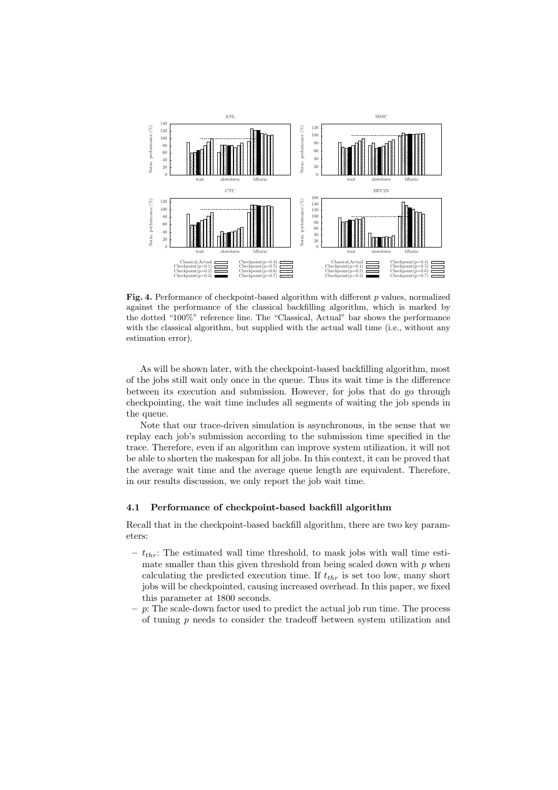

Fig. 4. Performance of checkpoint-based algorithm with different  $p$  values, normalized against the performance of the classical backfilling algorithm, which is marked by the dotted "100%" reference line. The "Classical, Actual" bar shows the performance with the classical algorithm, but supplied with the actual wall time (i.e., without any estimation error).

As will be shown later, with the checkpoint-based backfilling algorithm, most of the jobs still wait only once in the queue. Thus its wait time is the difference between its execution and submission. However, for jobs that do go through checkpointing, the wait time includes all segments of waiting the job spends in the queue.

Note that our trace-driven simulation is asynchronous, in the sense that we replay each job's submission according to the submission time specified in the trace. Therefore, even if an algorithm can improve system utilization, it will not be able to shorten the makespan for all jobs. In this context, it can be proved that the average wait time and the average queue length are equivalent. Therefore, in our results discussion, we only report the job wait time.

### 4.1 Performance of checkpoint-based backfill algorithm

Recall that in the checkpoint-based backfill algorithm, there are two key parameters:

- $t_{thr}$ : The estimated wall time threshold, to mask jobs with wall time estimate smaller than this given threshold from being scaled down with  $p$  when calculating the predicted execution time. If  $t_{thr}$  is set too low, many short jobs will be checkpointed, causing increased overhead. In this paper, we fixed this parameter at 1800 seconds.
- $p$ : The scale-down factor used to predict the actual job run time. The process of tuning p needs to consider the tradeoff between system utilization and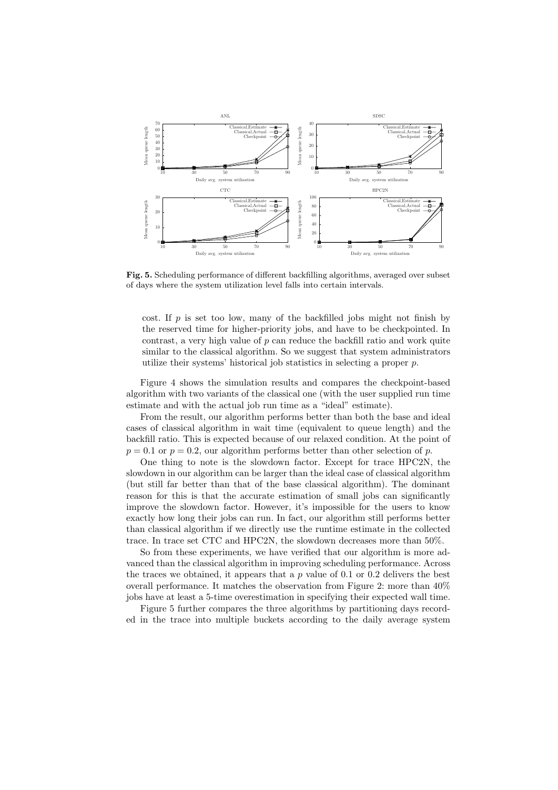

Fig. 5. Scheduling performance of different backfilling algorithms, averaged over subset of days where the system utilization level falls into certain intervals.

cost. If  $p$  is set too low, many of the backfilled jobs might not finish by the reserved time for higher-priority jobs, and have to be checkpointed. In contrast, a very high value of  $p$  can reduce the backfill ratio and work quite similar to the classical algorithm. So we suggest that system administrators utilize their systems' historical job statistics in selecting a proper p.

Figure 4 shows the simulation results and compares the checkpoint-based algorithm with two variants of the classical one (with the user supplied run time estimate and with the actual job run time as a "ideal" estimate).

From the result, our algorithm performs better than both the base and ideal cases of classical algorithm in wait time (equivalent to queue length) and the backfill ratio. This is expected because of our relaxed condition. At the point of  $p = 0.1$  or  $p = 0.2$ , our algorithm performs better than other selection of p.

One thing to note is the slowdown factor. Except for trace HPC2N, the slowdown in our algorithm can be larger than the ideal case of classical algorithm (but still far better than that of the base classical algorithm). The dominant reason for this is that the accurate estimation of small jobs can significantly improve the slowdown factor. However, it's impossible for the users to know exactly how long their jobs can run. In fact, our algorithm still performs better than classical algorithm if we directly use the runtime estimate in the collected trace. In trace set CTC and HPC2N, the slowdown decreases more than 50%.

So from these experiments, we have verified that our algorithm is more advanced than the classical algorithm in improving scheduling performance. Across the traces we obtained, it appears that a  $p$  value of 0.1 or 0.2 delivers the best overall performance. It matches the observation from Figure 2: more than 40% jobs have at least a 5-time overestimation in specifying their expected wall time.

Figure 5 further compares the three algorithms by partitioning days recorded in the trace into multiple buckets according to the daily average system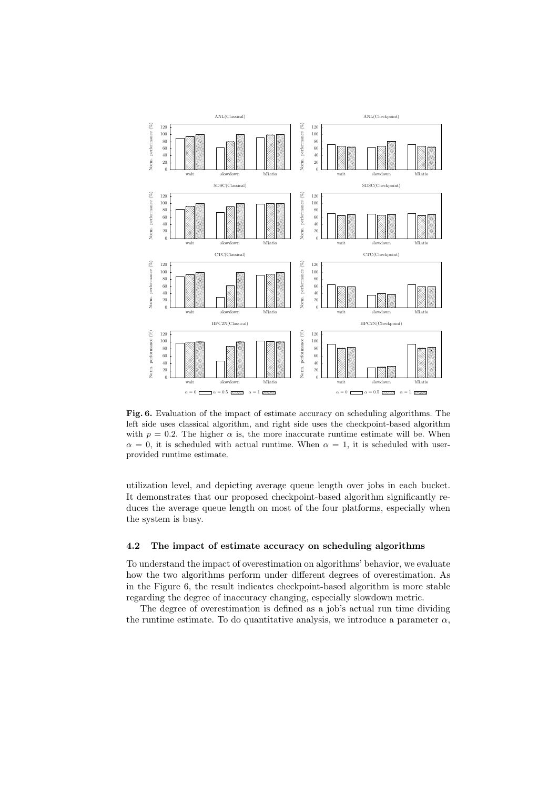

Fig. 6. Evaluation of the impact of estimate accuracy on scheduling algorithms. The left side uses classical algorithm, and right side uses the checkpoint-based algorithm with  $p = 0.2$ . The higher  $\alpha$  is, the more inaccurate runtime estimate will be. When  $\alpha = 0$ , it is scheduled with actual runtime. When  $\alpha = 1$ , it is scheduled with userprovided runtime estimate.

utilization level, and depicting average queue length over jobs in each bucket. It demonstrates that our proposed checkpoint-based algorithm significantly reduces the average queue length on most of the four platforms, especially when the system is busy.

#### 4.2 The impact of estimate accuracy on scheduling algorithms

To understand the impact of overestimation on algorithms' behavior, we evaluate how the two algorithms perform under different degrees of overestimation. As in the Figure 6, the result indicates checkpoint-based algorithm is more stable regarding the degree of inaccuracy changing, especially slowdown metric.

The degree of overestimation is defined as a job's actual run time dividing the runtime estimate. To do quantitative analysis, we introduce a parameter  $\alpha$ ,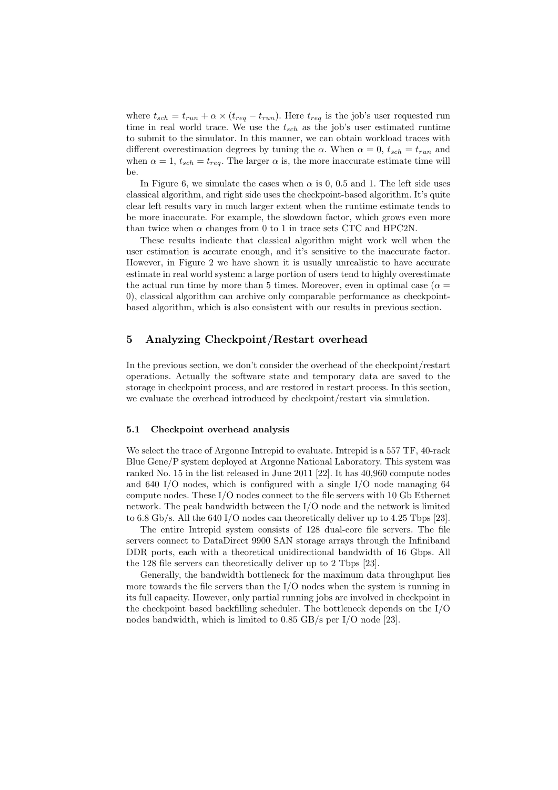where  $t_{sch} = t_{run} + \alpha \times (t_{req} - t_{run})$ . Here  $t_{req}$  is the job's user requested run time in real world trace. We use the  $t_{sch}$  as the job's user estimated runtime to submit to the simulator. In this manner, we can obtain workload traces with different overestimation degrees by tuning the  $\alpha$ . When  $\alpha = 0$ ,  $t_{sch} = t_{run}$  and when  $\alpha = 1$ ,  $t_{sch} = t_{req}$ . The larger  $\alpha$  is, the more inaccurate estimate time will be.

In Figure 6, we simulate the cases when  $\alpha$  is 0, 0.5 and 1. The left side uses classical algorithm, and right side uses the checkpoint-based algorithm. It's quite clear left results vary in much larger extent when the runtime estimate tends to be more inaccurate. For example, the slowdown factor, which grows even more than twice when  $\alpha$  changes from 0 to 1 in trace sets CTC and HPC2N.

These results indicate that classical algorithm might work well when the user estimation is accurate enough, and it's sensitive to the inaccurate factor. However, in Figure 2 we have shown it is usually unrealistic to have accurate estimate in real world system: a large portion of users tend to highly overestimate the actual run time by more than 5 times. Moreover, even in optimal case ( $\alpha =$ 0), classical algorithm can archive only comparable performance as checkpointbased algorithm, which is also consistent with our results in previous section.

# 5 Analyzing Checkpoint/Restart overhead

In the previous section, we don't consider the overhead of the checkpoint/restart operations. Actually the software state and temporary data are saved to the storage in checkpoint process, and are restored in restart process. In this section, we evaluate the overhead introduced by checkpoint/restart via simulation.

#### 5.1 Checkpoint overhead analysis

We select the trace of Argonne Intrepid to evaluate. Intrepid is a 557 TF, 40-rack Blue Gene/P system deployed at Argonne National Laboratory. This system was ranked No. 15 in the list released in June 2011 [22]. It has 40,960 compute nodes and 640 I/O nodes, which is configured with a single I/O node managing 64 compute nodes. These I/O nodes connect to the file servers with 10 Gb Ethernet network. The peak bandwidth between the I/O node and the network is limited to 6.8 Gb/s. All the 640 I/O nodes can theoretically deliver up to 4.25 Tbps [23].

The entire Intrepid system consists of 128 dual-core file servers. The file servers connect to DataDirect 9900 SAN storage arrays through the Infiniband DDR ports, each with a theoretical unidirectional bandwidth of 16 Gbps. All the 128 file servers can theoretically deliver up to 2 Tbps [23].

Generally, the bandwidth bottleneck for the maximum data throughput lies more towards the file servers than the  $I/O$  nodes when the system is running in its full capacity. However, only partial running jobs are involved in checkpoint in the checkpoint based backfilling scheduler. The bottleneck depends on the I/O nodes bandwidth, which is limited to 0.85 GB/s per I/O node [23].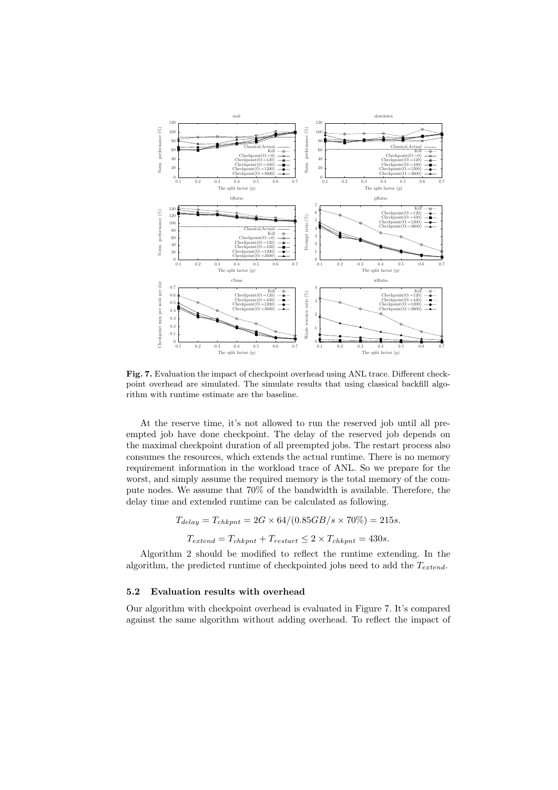

Fig. 7. Evaluation the impact of checkpoint overhead using ANL trace. Different checkpoint overhead are simulated. The simulate results that using classical backfill algorithm with runtime estimate are the baseline.

At the reserve time, it's not allowed to run the reserved job until all preempted job have done checkpoint. The delay of the reserved job depends on the maximal checkpoint duration of all preempted jobs. The restart process also consumes the resources, which extends the actual runtime. There is no memory requirement information in the workload trace of ANL. So we prepare for the worst, and simply assume the required memory is the total memory of the compute nodes. We assume that 70% of the bandwidth is available. Therefore, the delay time and extended runtime can be calculated as following.

$$
T_{delay} = T_{chkpnt} = 2G \times 64/(0.85GB/s \times 70\%) = 215s.
$$
  

$$
T_{extend} = T_{chkpnt} + T_{restart} \le 2 \times T_{chkpnt} = 430s.
$$

Algorithm 2 should be modified to reflect the runtime extending. In the algorithm, the predicted runtime of checkpointed jobs need to add the  $T_{extend}$ .

### 5.2 Evaluation results with overhead

Our algorithm with checkpoint overhead is evaluated in Figure 7. It's compared against the same algorithm without adding overhead. To reflect the impact of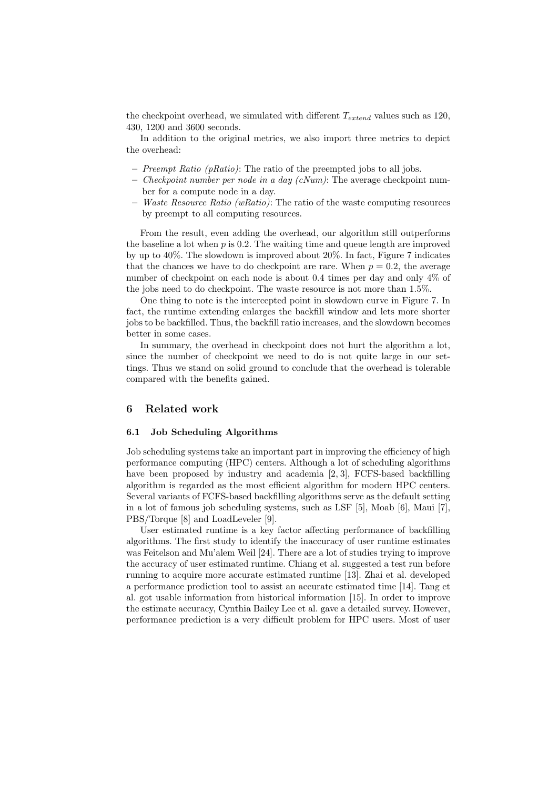the checkpoint overhead, we simulated with different  $T_{extend}$  values such as 120, 430, 1200 and 3600 seconds.

In addition to the original metrics, we also import three metrics to depict the overhead:

- Preempt Ratio (pRatio): The ratio of the preempted jobs to all jobs.
- Checkpoint number per node in a day  $(cNum)$ : The average checkpoint number for a compute node in a day.
- $-$  Waste Resource Ratio (wRatio): The ratio of the waste computing resources by preempt to all computing resources.

From the result, even adding the overhead, our algorithm still outperforms the baseline a lot when  $p$  is 0.2. The waiting time and queue length are improved by up to 40%. The slowdown is improved about 20%. In fact, Figure 7 indicates that the chances we have to do checkpoint are rare. When  $p = 0.2$ , the average number of checkpoint on each node is about 0.4 times per day and only 4% of the jobs need to do checkpoint. The waste resource is not more than 1.5%.

One thing to note is the intercepted point in slowdown curve in Figure 7. In fact, the runtime extending enlarges the backfill window and lets more shorter jobs to be backfilled. Thus, the backfill ratio increases, and the slowdown becomes better in some cases.

In summary, the overhead in checkpoint does not hurt the algorithm a lot, since the number of checkpoint we need to do is not quite large in our settings. Thus we stand on solid ground to conclude that the overhead is tolerable compared with the benefits gained.

# 6 Related work

### 6.1 Job Scheduling Algorithms

Job scheduling systems take an important part in improving the efficiency of high performance computing (HPC) centers. Although a lot of scheduling algorithms have been proposed by industry and academia [2, 3], FCFS-based backfilling algorithm is regarded as the most efficient algorithm for modern HPC centers. Several variants of FCFS-based backfilling algorithms serve as the default setting in a lot of famous job scheduling systems, such as LSF [5], Moab [6], Maui [7], PBS/Torque [8] and LoadLeveler [9].

User estimated runtime is a key factor affecting performance of backfilling algorithms. The first study to identify the inaccuracy of user runtime estimates was Feitelson and Mu'alem Weil [24]. There are a lot of studies trying to improve the accuracy of user estimated runtime. Chiang et al. suggested a test run before running to acquire more accurate estimated runtime [13]. Zhai et al. developed a performance prediction tool to assist an accurate estimated time [14]. Tang et al. got usable information from historical information [15]. In order to improve the estimate accuracy, Cynthia Bailey Lee et al. gave a detailed survey. However, performance prediction is a very difficult problem for HPC users. Most of user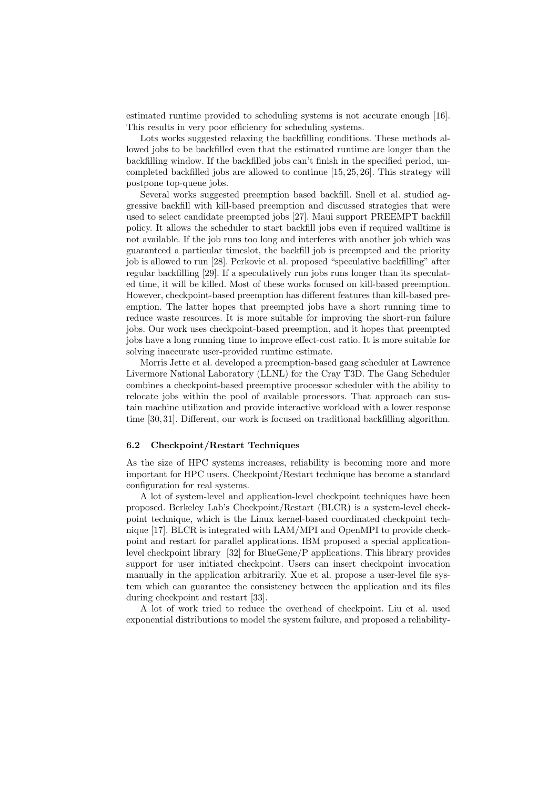estimated runtime provided to scheduling systems is not accurate enough [16]. This results in very poor efficiency for scheduling systems.

Lots works suggested relaxing the backfilling conditions. These methods allowed jobs to be backfilled even that the estimated runtime are longer than the backfilling window. If the backfilled jobs can't finish in the specified period, uncompleted backfilled jobs are allowed to continue [15, 25, 26]. This strategy will postpone top-queue jobs.

Several works suggested preemption based backfill. Snell et al. studied aggressive backfill with kill-based preemption and discussed strategies that were used to select candidate preempted jobs [27]. Maui support PREEMPT backfill policy. It allows the scheduler to start backfill jobs even if required walltime is not available. If the job runs too long and interferes with another job which was guaranteed a particular timeslot, the backfill job is preempted and the priority job is allowed to run [28]. Perkovic et al. proposed "speculative backfilling" after regular backfilling [29]. If a speculatively run jobs runs longer than its speculated time, it will be killed. Most of these works focused on kill-based preemption. However, checkpoint-based preemption has different features than kill-based preemption. The latter hopes that preempted jobs have a short running time to reduce waste resources. It is more suitable for improving the short-run failure jobs. Our work uses checkpoint-based preemption, and it hopes that preempted jobs have a long running time to improve effect-cost ratio. It is more suitable for solving inaccurate user-provided runtime estimate.

Morris Jette et al. developed a preemption-based gang scheduler at Lawrence Livermore National Laboratory (LLNL) for the Cray T3D. The Gang Scheduler combines a checkpoint-based preemptive processor scheduler with the ability to relocate jobs within the pool of available processors. That approach can sustain machine utilization and provide interactive workload with a lower response time [30, 31]. Different, our work is focused on traditional backfilling algorithm.

# 6.2 Checkpoint/Restart Techniques

As the size of HPC systems increases, reliability is becoming more and more important for HPC users. Checkpoint/Restart technique has become a standard configuration for real systems.

A lot of system-level and application-level checkpoint techniques have been proposed. Berkeley Lab's Checkpoint/Restart (BLCR) is a system-level checkpoint technique, which is the Linux kernel-based coordinated checkpoint technique [17]. BLCR is integrated with LAM/MPI and OpenMPI to provide checkpoint and restart for parallel applications. IBM proposed a special applicationlevel checkpoint library [32] for BlueGene/P applications. This library provides support for user initiated checkpoint. Users can insert checkpoint invocation manually in the application arbitrarily. Xue et al. propose a user-level file system which can guarantee the consistency between the application and its files during checkpoint and restart [33].

A lot of work tried to reduce the overhead of checkpoint. Liu et al. used exponential distributions to model the system failure, and proposed a reliability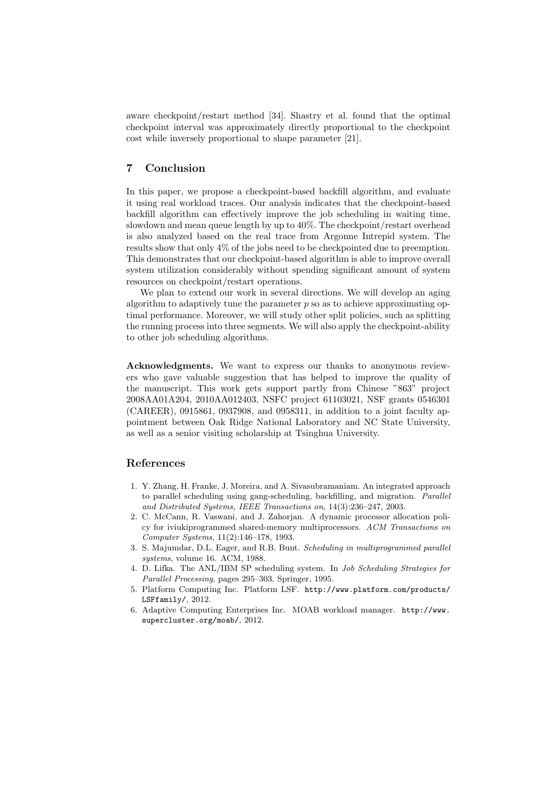aware checkpoint/restart method [34]. Shastry et al. found that the optimal checkpoint interval was approximately directly proportional to the checkpoint cost while inversely proportional to shape parameter [21].

# 7 Conclusion

In this paper, we propose a checkpoint-based backfill algorithm, and evaluate it using real workload traces. Our analysis indicates that the checkpoint-based backfill algorithm can effectively improve the job scheduling in waiting time, slowdown and mean queue length by up to 40%. The checkpoint/restart overhead is also analyzed based on the real trace from Argonne Intrepid system. The results show that only 4% of the jobs need to be checkpointed due to preemption. This demonstrates that our checkpoint-based algorithm is able to improve overall system utilization considerably without spending significant amount of system resources on checkpoint/restart operations.

We plan to extend our work in several directions. We will develop an aging algorithm to adaptively tune the parameter  $p$  so as to achieve approximating optimal performance. Moreover, we will study other split policies, such as splitting the running process into three segments. We will also apply the checkpoint-ability to other job scheduling algorithms.

Acknowledgments. We want to express our thanks to anonymous reviewers who gave valuable suggestion that has helped to improve the quality of the manuscript. This work gets support partly from Chinese "863" project 2008AA01A204, 2010AA012403, NSFC project 61103021, NSF grants 0546301 (CAREER), 0915861, 0937908, and 0958311, in addition to a joint faculty appointment between Oak Ridge National Laboratory and NC State University, as well as a senior visiting scholarship at Tsinghua University.

### References

- 1. Y. Zhang, H. Franke, J. Moreira, and A. Sivasubramaniam. An integrated approach to parallel scheduling using gang-scheduling, backfilling, and migration. Parallel and Distributed Systems, IEEE Transactions on, 14(3):236–247, 2003.
- 2. C. McCann, R. Vaswani, and J. Zahorjan. A dynamic processor allocation policy for iviukiprogrammed shared-memory multiprocessors. ACM Transactions on Computer Systems, 11(2):146–178, 1993.
- 3. S. Majumdar, D.L. Eager, and R.B. Bunt. Scheduling in multiprogrammed parallel systems, volume 16. ACM, 1988.
- 4. D. Lifka. The ANL/IBM SP scheduling system. In Job Scheduling Strategies for Parallel Processing, pages 295–303. Springer, 1995.
- 5. Platform Computing Inc. Platform LSF. http://www.platform.com/products/ LSFfamily/, 2012.
- 6. Adaptive Computing Enterprises Inc. MOAB workload manager. http://www. supercluster.org/moab/, 2012.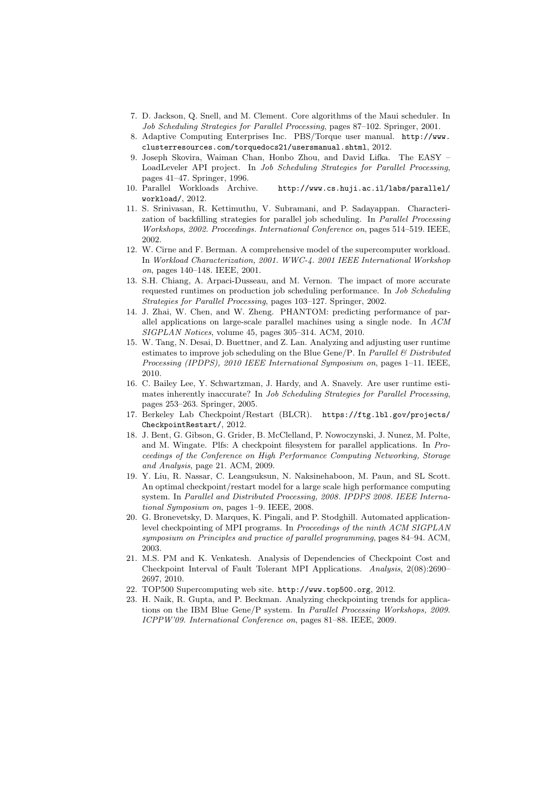- 7. D. Jackson, Q. Snell, and M. Clement. Core algorithms of the Maui scheduler. In Job Scheduling Strategies for Parallel Processing, pages 87–102. Springer, 2001.
- 8. Adaptive Computing Enterprises Inc. PBS/Torque user manual. http://www. clusterresources.com/torquedocs21/usersmanual.shtml, 2012.
- 9. Joseph Skovira, Waiman Chan, Honbo Zhou, and David Lifka. The EASY LoadLeveler API project. In Job Scheduling Strategies for Parallel Processing, pages 41–47. Springer, 1996.
- 10. Parallel Workloads Archive. http://www.cs.huji.ac.il/labs/parallel/ workload/, 2012.
- 11. S. Srinivasan, R. Kettimuthu, V. Subramani, and P. Sadayappan. Characterization of backfilling strategies for parallel job scheduling. In Parallel Processing Workshops, 2002. Proceedings. International Conference on, pages 514–519. IEEE, 2002.
- 12. W. Cirne and F. Berman. A comprehensive model of the supercomputer workload. In Workload Characterization, 2001. WWC-4. 2001 IEEE International Workshop on, pages 140–148. IEEE, 2001.
- 13. S.H. Chiang, A. Arpaci-Dusseau, and M. Vernon. The impact of more accurate requested runtimes on production job scheduling performance. In Job Scheduling Strategies for Parallel Processing, pages 103–127. Springer, 2002.
- 14. J. Zhai, W. Chen, and W. Zheng. PHANTOM: predicting performance of parallel applications on large-scale parallel machines using a single node. In ACM SIGPLAN Notices, volume 45, pages 305–314. ACM, 2010.
- 15. W. Tang, N. Desai, D. Buettner, and Z. Lan. Analyzing and adjusting user runtime estimates to improve job scheduling on the Blue Gene/P. In Parallel  $\&$  Distributed Processing (IPDPS), 2010 IEEE International Symposium on, pages 1–11. IEEE, 2010.
- 16. C. Bailey Lee, Y. Schwartzman, J. Hardy, and A. Snavely. Are user runtime estimates inherently inaccurate? In Job Scheduling Strategies for Parallel Processing, pages 253–263. Springer, 2005.
- 17. Berkeley Lab Checkpoint/Restart (BLCR). https://ftg.lbl.gov/projects/ CheckpointRestart/, 2012.
- 18. J. Bent, G. Gibson, G. Grider, B. McClelland, P. Nowoczynski, J. Nunez, M. Polte, and M. Wingate. Plfs: A checkpoint filesystem for parallel applications. In Proceedings of the Conference on High Performance Computing Networking, Storage and Analysis, page 21. ACM, 2009.
- 19. Y. Liu, R. Nassar, C. Leangsuksun, N. Naksinehaboon, M. Paun, and SL Scott. An optimal checkpoint/restart model for a large scale high performance computing system. In Parallel and Distributed Processing, 2008. IPDPS 2008. IEEE International Symposium on, pages 1–9. IEEE, 2008.
- 20. G. Bronevetsky, D. Marques, K. Pingali, and P. Stodghill. Automated applicationlevel checkpointing of MPI programs. In Proceedings of the ninth ACM SIGPLAN symposium on Principles and practice of parallel programming, pages 84–94. ACM, 2003.
- 21. M.S. PM and K. Venkatesh. Analysis of Dependencies of Checkpoint Cost and Checkpoint Interval of Fault Tolerant MPI Applications. Analysis, 2(08):2690– 2697, 2010.
- 22. TOP500 Supercomputing web site. http://www.top500.org, 2012.
- 23. H. Naik, R. Gupta, and P. Beckman. Analyzing checkpointing trends for applications on the IBM Blue Gene/P system. In Parallel Processing Workshops, 2009. ICPPW'09. International Conference on, pages 81–88. IEEE, 2009.